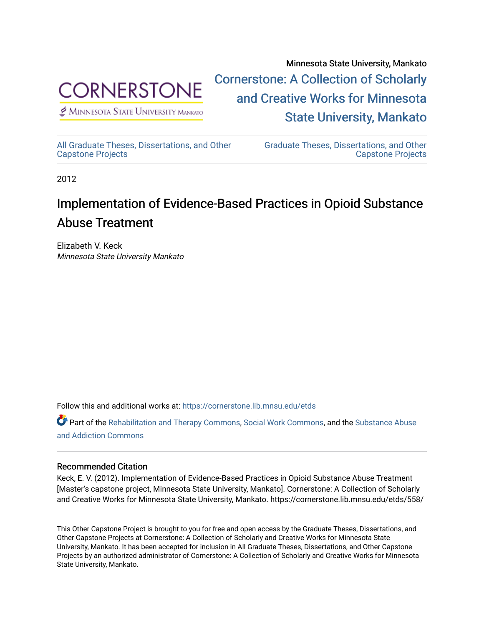

 $\n *P* MINNESOTA STATE UNIVERSITY MANKATO\n$ 

Minnesota State University, Mankato [Cornerstone: A Collection of Scholarly](https://cornerstone.lib.mnsu.edu/)  [and Creative Works for Minnesota](https://cornerstone.lib.mnsu.edu/)  [State University, Mankato](https://cornerstone.lib.mnsu.edu/) 

[All Graduate Theses, Dissertations, and Other](https://cornerstone.lib.mnsu.edu/etds)  [Capstone Projects](https://cornerstone.lib.mnsu.edu/etds) 

[Graduate Theses, Dissertations, and Other](https://cornerstone.lib.mnsu.edu/theses_dissertations-capstone)  [Capstone Projects](https://cornerstone.lib.mnsu.edu/theses_dissertations-capstone) 

2012

#### Implementation of Evidence-Based Practices in Opioid Substance Abuse Treatment

Elizabeth V. Keck Minnesota State University Mankato

Follow this and additional works at: [https://cornerstone.lib.mnsu.edu/etds](https://cornerstone.lib.mnsu.edu/etds?utm_source=cornerstone.lib.mnsu.edu%2Fetds%2F558&utm_medium=PDF&utm_campaign=PDFCoverPages) 

Part of the [Rehabilitation and Therapy Commons,](http://network.bepress.com/hgg/discipline/749?utm_source=cornerstone.lib.mnsu.edu%2Fetds%2F558&utm_medium=PDF&utm_campaign=PDFCoverPages) [Social Work Commons,](http://network.bepress.com/hgg/discipline/713?utm_source=cornerstone.lib.mnsu.edu%2Fetds%2F558&utm_medium=PDF&utm_campaign=PDFCoverPages) and the [Substance Abuse](http://network.bepress.com/hgg/discipline/710?utm_source=cornerstone.lib.mnsu.edu%2Fetds%2F558&utm_medium=PDF&utm_campaign=PDFCoverPages) [and Addiction Commons](http://network.bepress.com/hgg/discipline/710?utm_source=cornerstone.lib.mnsu.edu%2Fetds%2F558&utm_medium=PDF&utm_campaign=PDFCoverPages) 

#### Recommended Citation

Keck, E. V. (2012). Implementation of Evidence-Based Practices in Opioid Substance Abuse Treatment [Master's capstone project, Minnesota State University, Mankato]. Cornerstone: A Collection of Scholarly and Creative Works for Minnesota State University, Mankato. https://cornerstone.lib.mnsu.edu/etds/558/

This Other Capstone Project is brought to you for free and open access by the Graduate Theses, Dissertations, and Other Capstone Projects at Cornerstone: A Collection of Scholarly and Creative Works for Minnesota State University, Mankato. It has been accepted for inclusion in All Graduate Theses, Dissertations, and Other Capstone Projects by an authorized administrator of Cornerstone: A Collection of Scholarly and Creative Works for Minnesota State University, Mankato.